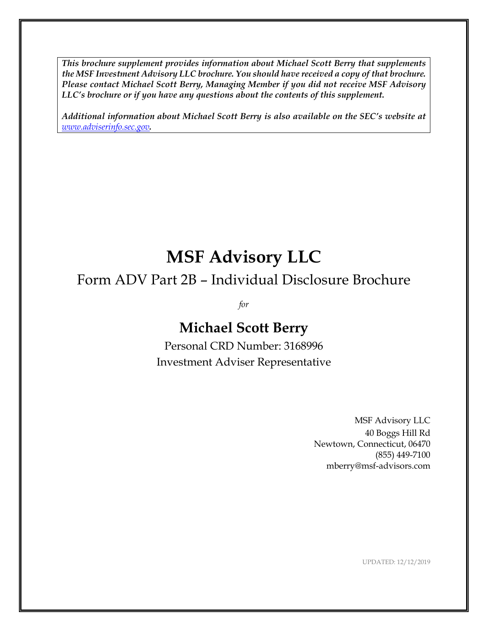*This brochure supplement provides information about Michael Scott Berry that supplements the MSF Investment Advisory LLC brochure. You should have received a copy of that brochure. Please contact Michael Scott Berry, Managing Member if you did not receive MSF Advisory LLC's brochure or if you have any questions about the contents of this supplement.*

*Additional information about Michael Scott Berry is also available on the SEC's website at [www.adviserinfo.sec.gov](http://www.adviserinfo.sec.gov/).*

# **MSF Advisory LLC**

## Form ADV Part 2B – Individual Disclosure Brochure

*for*

## **Michael Scott Berry**

Personal CRD Number: 3168996 Investment Adviser Representative

> MSF Advisory LLC 40 Boggs Hill Rd Newtown, Connecticut, 06470 (855) 449-7100 mberry@msf-advisors.com

> > UPDATED: 12/12/2019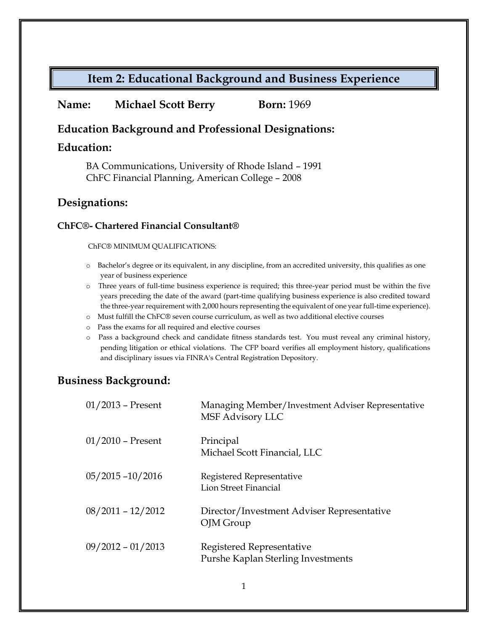## **Item 2: Educational Background and Business Experience**

#### **Name: Michael Scott Berry Born:** 1969

#### **Education Background and Professional Designations:**

#### **Education:**

BA Communications, University of Rhode Island – 1991 ChFC Financial Planning, American College – 2008

#### **Designations:**

#### **ChFC®- Chartered Financial Consultant®**

ChFC® MINIMUM QUALIFICATIONS:

- o Bachelor's degree or its equivalent, in any discipline, from an accredited university, this qualifies as one year of business experience
- o Three years of full-time business experience is required; this three-year period must be within the five years preceding the date of the award (part-time qualifying business experience is also credited toward the three-year requirement with 2,000 hours representing the equivalent of one year full-time experience).
- o Must fulfill the ChFC® seven course curriculum, as well as two additional elective courses
- o Pass the exams for all required and elective courses
- o Pass a background check and candidate fitness standards test. You must reveal any criminal history, pending litigation or ethical violations. The CFP board verifies all employment history, qualifications and disciplinary issues via FINRA's Central Registration Depository.

### **Business Background:**

| $01/2013$ – Present | Managing Member/Investment Adviser Representative<br><b>MSF Advisory LLC</b> |
|---------------------|------------------------------------------------------------------------------|
| $01/2010$ – Present | Principal<br>Michael Scott Financial, LLC                                    |
| $05/2015 - 10/2016$ | Registered Representative<br><b>Lion Street Financial</b>                    |
| $08/2011 - 12/2012$ | Director/Investment Adviser Representative<br>OJM Group                      |
| $09/2012 - 01/2013$ | Registered Representative<br>Purshe Kaplan Sterling Investments              |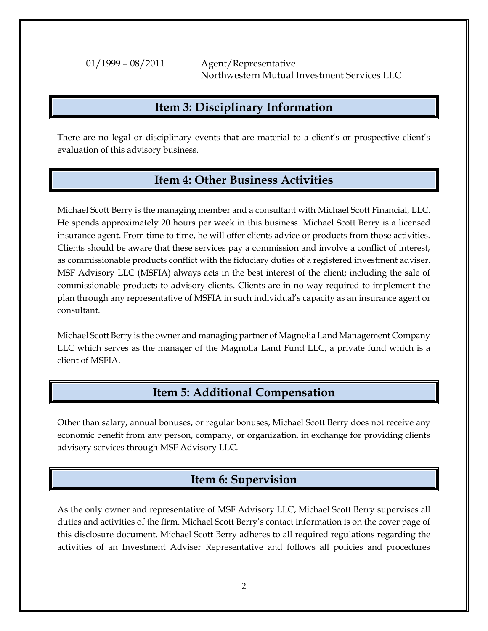01/1999 – 08/2011 Agent/Representative Northwestern Mutual Investment Services LLC

#### **Item 3: Disciplinary Information**

There are no legal or disciplinary events that are material to a client's or prospective client's evaluation of this advisory business.

#### **Item 4: Other Business Activities**

Michael Scott Berry is the managing member and a consultant with Michael Scott Financial, LLC. He spends approximately 20 hours per week in this business. Michael Scott Berry is a licensed insurance agent. From time to time, he will offer clients advice or products from those activities. Clients should be aware that these services pay a commission and involve a conflict of interest, as commissionable products conflict with the fiduciary duties of a registered investment adviser. MSF Advisory LLC (MSFIA) always acts in the best interest of the client; including the sale of commissionable products to advisory clients. Clients are in no way required to implement the plan through any representative of MSFIA in such individual's capacity as an insurance agent or consultant.

Michael Scott Berry is the owner and managing partner of Magnolia Land Management Company LLC which serves as the manager of the Magnolia Land Fund LLC, a private fund which is a client of MSFIA.

### **Item 5: Additional Compensation**

Other than salary, annual bonuses, or regular bonuses, Michael Scott Berry does not receive any economic benefit from any person, company, or organization, in exchange for providing clients advisory services through MSF Advisory LLC.

### **Item 6: Supervision**

As the only owner and representative of MSF Advisory LLC, Michael Scott Berry supervises all duties and activities of the firm. Michael Scott Berry's contact information is on the cover page of this disclosure document. Michael Scott Berry adheres to all required regulations regarding the activities of an Investment Adviser Representative and follows all policies and procedures